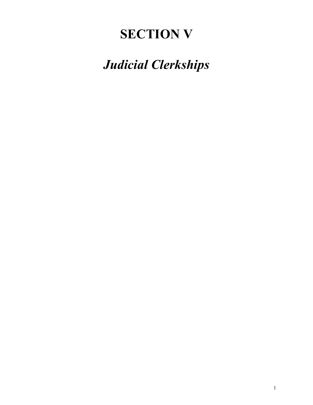# **SECTION V**

# *Judicial Clerkships*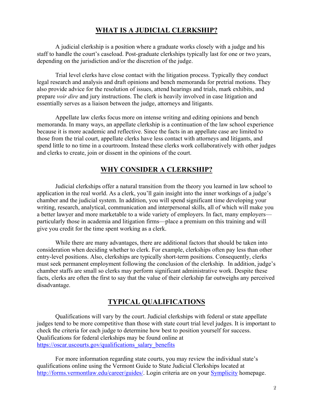# **WHAT IS A JUDICIAL CLERKSHIP?**

A judicial clerkship is a position where a graduate works closely with a judge and his staff to handle the court's caseload. Post-graduate clerkships typically last for one or two years, depending on the jurisdiction and/or the discretion of the judge.

Trial level clerks have close contact with the litigation process. Typically they conduct legal research and analysis and draft opinions and bench memoranda for pretrial motions. They also provide advice for the resolution of issues, attend hearings and trials, mark exhibits, and prepare *voir dire* and jury instructions. The clerk is heavily involved in case litigation and essentially serves as a liaison between the judge, attorneys and litigants.

Appellate law clerks focus more on intense writing and editing opinions and bench memoranda. In many ways, an appellate clerkship is a continuation of the law school experience because it is more academic and reflective. Since the facts in an appellate case are limited to those from the trial court, appellate clerks have less contact with attorneys and litigants, and spend little to no time in a courtroom. Instead these clerks work collaboratively with other judges and clerks to create, join or dissent in the opinions of the court.

# **WHY CONSIDER A CLERKSHIP?**

Judicial clerkships offer a natural transition from the theory you learned in law school to application in the real world. As a clerk, you'll gain insight into the inner workings of a judge's chamber and the judicial system. In addition, you will spend significant time developing your writing, research, analytical, communication and interpersonal skills, all of which will make you a better lawyer and more marketable to a wide variety of employers. In fact, many employers particularly those in academia and litigation firms—place a premium on this training and will give you credit for the time spent working as a clerk.

While there are many advantages, there are additional factors that should be taken into consideration when deciding whether to clerk. For example, clerkships often pay less than other entry-level positions. Also, clerkships are typically short-term positions. Consequently, clerks must seek permanent employment following the conclusion of the clerkship. In addition, judge's chamber staffs are small so clerks may perform significant administrative work. Despite these facts, clerks are often the first to say that the value of their clerkship far outweighs any perceived disadvantage.

# **TYPICAL QUALIFICATIONS**

Qualifications will vary by the court. Judicial clerkships with federal or state appellate judges tend to be more competitive than those with state court trial level judges. It is important to check the criteria for each judge to determine how best to position yourself for success. Qualifications for federal clerkships may be found online at https://oscar.uscourts.gov/qualifications\_salary\_benefits

For more information regarding state courts, you may review the individual state's qualifications online using the Vermont Guide to State Judicial Clerkships located at http://forms.vermontlaw.edu/career/guides/. Login criteria are on your Symplicity homepage.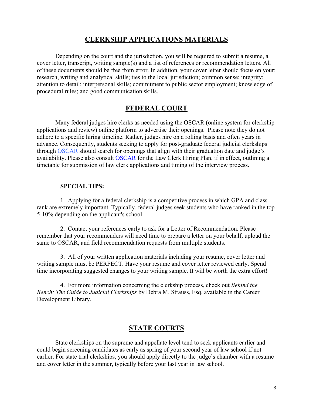# **CLERKSHIP APPLICATIONS MATERIALS**

Depending on the court and the jurisdiction, you will be required to submit a resume, a cover letter, transcript, writing sample(s) and a list of references or recommendation letters. All of these documents should be free from error. In addition, your cover letter should focus on your: research, writing and analytical skills; ties to the local jurisdiction; common sense; integrity; attention to detail; interpersonal skills; commitment to public sector employment; knowledge of procedural rules; and good communication skills.

## **FEDERAL COURT**

Many federal judges hire clerks as needed using the OSCAR (online system for clerkship applications and review) online platform to advertise their openings. Please note they do not adhere to a specific hiring timeline. Rather, judges hire on a rolling basis and often years in advance. Consequently, students seeking to apply for post-graduate federal judicial clerkships through OSCAR should search for openings that align with their graduation date and judge's availability. Please also consult OSCAR for the Law Clerk Hiring Plan, if in effect, outlining a timetable for submission of law clerk applications and timing of the interview process.

#### **SPECIAL TIPS:**

1. Applying for a federal clerkship is a competitive process in which GPA and class rank are extremely important. Typically, federal judges seek students who have ranked in the top 5-10% depending on the applicant's school.

2. Contact your references early to ask for a Letter of Recommendation. Please remember that your recommenders will need time to prepare a letter on your behalf, upload the same to OSCAR, and field recommendation requests from multiple students.

3. All of your written application materials including your resume, cover letter and writing sample must be PERFECT. Have your resume and cover letter reviewed early. Spend time incorporating suggested changes to your writing sample. It will be worth the extra effort!

4. For more information concerning the clerkship process, check out *Behind the Bench: The Guide to Judicial Clerkships* by Debra M. Strauss, Esq. available in the Career Development Library.

## **STATE COURTS**

State clerkships on the supreme and appellate level tend to seek applicants earlier and could begin screening candidates as early as spring of your second year of law school if not earlier. For state trial clerkships, you should apply directly to the judge's chamber with a resume and cover letter in the summer, typically before your last year in law school.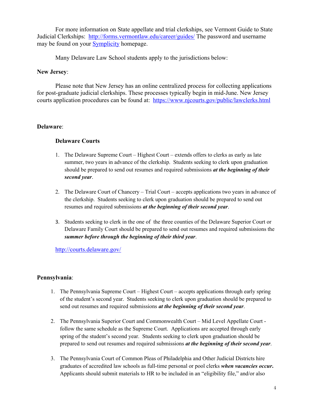For more information on State appellate and trial clerkships, see Vermont Guide to State Judicial Clerkships: http://forms.vermontlaw.edu/career/guides/ The password and username may be found on your **Symplicity** homepage.

Many Delaware Law School students apply to the jurisdictions below:

## **New Jersey**:

Please note that New Jersey has an online centralized process for collecting applications for post-graduate judicial clerkships. These processes typically begin in mid-June. New Jersey courts application procedures can be found at: https://www.njcourts.gov/public/lawclerks.html

## **Delaware**:

## **Delaware Courts**

- 1. The Delaware Supreme Court Highest Court extends offers to clerks as early as late summer, two years in advance of the clerkship. Students seeking to clerk upon graduation should be prepared to send out resumes and required submissions *at the beginning of their second year*.
- 2. The Delaware Court of Chancery Trial Court accepts applications two years in advance of the clerkship. Students seeking to clerk upon graduation should be prepared to send out resumes and required submissions *at the beginning of their second year*.
- 3. Students seeking to clerk in the one of the three counties of the Delaware Superior Court or Delaware Family Court should be prepared to send out resumes and required submissions the *summer before through the beginning of their third year*.

http://courts.delaware.gov/

### **Pennsylvania**:

- 1. The Pennsylvania Supreme Court Highest Court accepts applications through early spring of the student's second year. Students seeking to clerk upon graduation should be prepared to send out resumes and required submissions *at the beginning of their second year*.
- 2. The Pennsylvania Superior Court and Commonwealth Court Mid Level Appellate Court follow the same schedule as the Supreme Court. Applications are accepted through early spring of the student's second year. Students seeking to clerk upon graduation should be prepared to send out resumes and required submissions *at the beginning of their second year*.
- 3. The Pennsylvania Court of Common Pleas of Philadelphia and Other Judicial Districts hire graduates of accredited law schools as full-time personal or pool clerks *when vacancies occur***.** Applicants should submit materials to HR to be included in an "eligibility file," and/or also